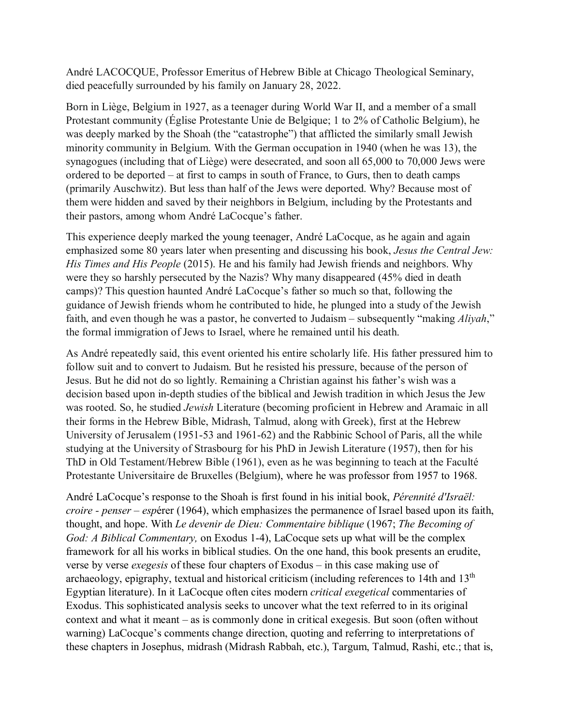André LACOCQUE, Professor Emeritus of Hebrew Bible at Chicago Theological Seminary, died peacefully surrounded by his family on January 28, 2022.

Born in Liège, Belgium in 1927, as a teenager during World War II, and a member of a small Protestant community (Église Protestante Unie de Belgique; 1 to 2% of Catholic Belgium), he was deeply marked by the Shoah (the "catastrophe") that afflicted the similarly small Jewish minority community in Belgium. With the German occupation in 1940 (when he was 13), the synagogues (including that of Liège) were desecrated, and soon all 65,000 to 70,000 Jews were ordered to be deported – at first to camps in south of France, to Gurs, then to death camps (primarily Auschwitz). But less than half of the Jews were deported. Why? Because most of them were hidden and saved by their neighbors in Belgium, including by the Protestants and their pastors, among whom André LaCocque's father.

This experience deeply marked the young teenager, André LaCocque, as he again and again emphasized some 80 years later when presenting and discussing his book, *Jesus the Central Jew: His Times and His People* (2015). He and his family had Jewish friends and neighbors. Why were they so harshly persecuted by the Nazis? Why many disappeared (45% died in death camps)? This question haunted André LaCocque's father so much so that, following the guidance of Jewish friends whom he contributed to hide, he plunged into a study of the Jewish faith, and even though he was a pastor, he converted to Judaism – subsequently "making *Aliyah*," the formal immigration of Jews to Israel, where he remained until his death.

As André repeatedly said, this event oriented his entire scholarly life. His father pressured him to follow suit and to convert to Judaism. But he resisted his pressure, because of the person of Jesus. But he did not do so lightly. Remaining a Christian against his father's wish was a decision based upon in-depth studies of the biblical and Jewish tradition in which Jesus the Jew was rooted. So, he studied *Jewish* Literature (becoming proficient in Hebrew and Aramaic in all their forms in the Hebrew Bible, Midrash, Talmud, along with Greek), first at the Hebrew University of Jerusalem (1951-53 and 1961-62) and the Rabbinic School of Paris, all the while studying at the University of Strasbourg for his PhD in Jewish Literature (1957), then for his ThD in Old Testament/Hebrew Bible (1961), even as he was beginning to teach at the Faculté Protestante Universitaire de Bruxelles (Belgium), where he was professor from 1957 to 1968.

André LaCocque's response to the Shoah is first found in his initial book, *Pérennité d'Israël: croire - penser – esp*érer (1964), which emphasizes the permanence of Israel based upon its faith, thought, and hope. With *Le devenir de Dieu: Commentaire biblique* (1967; *The Becoming of God: A Biblical Commentary,* on Exodus 1-4), LaCocque sets up what will be the complex framework for all his works in biblical studies. On the one hand, this book presents an erudite, verse by verse *exegesis* of these four chapters of Exodus – in this case making use of archaeology, epigraphy, textual and historical criticism (including references to 14th and  $13<sup>th</sup>$ Egyptian literature). In it LaCocque often cites modern *critical exegetical* commentaries of Exodus. This sophisticated analysis seeks to uncover what the text referred to in its original context and what it meant – as is commonly done in critical exegesis. But soon (often without warning) LaCocque's comments change direction, quoting and referring to interpretations of these chapters in Josephus, midrash (Midrash Rabbah, etc.), Targum, Talmud, Rashi, etc.; that is,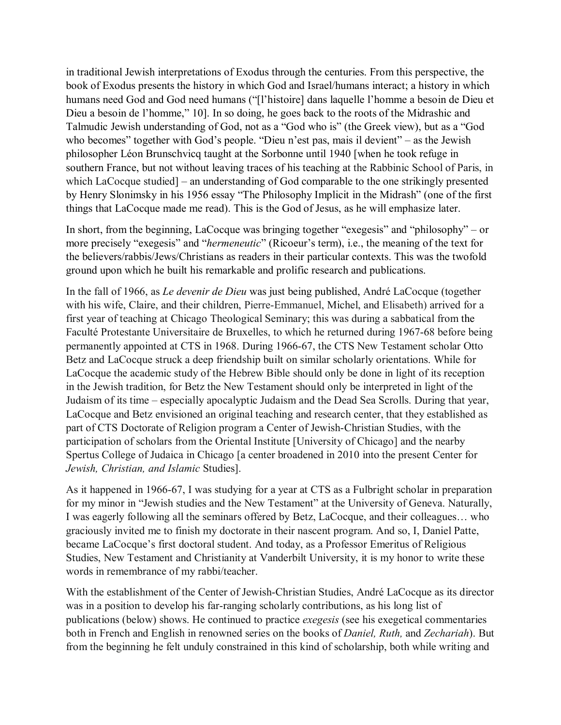in traditional Jewish interpretations of Exodus through the centuries. From this perspective, the book of Exodus presents the history in which God and Israel/humans interact; a history in which humans need God and God need humans ("[l'histoire] dans laquelle l'homme a besoin de Dieu et Dieu a besoin de l'homme," 10]. In so doing, he goes back to the roots of the Midrashic and Talmudic Jewish understanding of God, not as a "God who is" (the Greek view), but as a "God who becomes" together with God's people. "Dieu n'est pas, mais il devient" – as the Jewish philosopher Léon Brunschvicq taught at the Sorbonne until 1940 [when he took refuge in southern France, but not without leaving traces of his teaching at the Rabbinic School of Paris, in which LaCocque studied] – an understanding of God comparable to the one strikingly presented by Henry Slonimsky in his 1956 essay "The Philosophy Implicit in the Midrash" (one of the first things that LaCocque made me read). This is the God of Jesus, as he will emphasize later.

In short, from the beginning, LaCocque was bringing together "exegesis" and "philosophy" – or more precisely "exegesis" and "*hermeneutic*" (Ricoeur's term), i.e., the meaning of the text for the believers/rabbis/Jews/Christians as readers in their particular contexts. This was the twofold ground upon which he built his remarkable and prolific research and publications.

In the fall of 1966, as *Le devenir de Dieu* was just being published, André LaCocque (together with his wife, Claire, and their children, Pierre-Emmanuel, Michel, and Elisabeth) arrived for a first year of teaching at Chicago Theological Seminary; this was during a sabbatical from the Faculté Protestante Universitaire de Bruxelles, to which he returned during 1967-68 before being permanently appointed at CTS in 1968. During 1966-67, the CTS New Testament scholar Otto Betz and LaCocque struck a deep friendship built on similar scholarly orientations. While for LaCocque the academic study of the Hebrew Bible should only be done in light of its reception in the Jewish tradition, for Betz the New Testament should only be interpreted in light of the Judaism of its time – especially apocalyptic Judaism and the Dead Sea Scrolls. During that year, LaCocque and Betz envisioned an original teaching and research center, that they established as part of CTS Doctorate of Religion program a Center of Jewish-Christian Studies, with the participation of scholars from the Oriental Institute [University of Chicago] and the nearby Spertus College of Judaica in Chicago [a center broadened in 2010 into the present Center for *Jewish, Christian, and Islamic* Studies].

As it happened in 1966-67, I was studying for a year at CTS as a Fulbright scholar in preparation for my minor in "Jewish studies and the New Testament" at the University of Geneva. Naturally, I was eagerly following all the seminars offered by Betz, LaCocque, and their colleagues… who graciously invited me to finish my doctorate in their nascent program. And so, I, Daniel Patte, became LaCocque's first doctoral student. And today, as a Professor Emeritus of Religious Studies, New Testament and Christianity at Vanderbilt University, it is my honor to write these words in remembrance of my rabbi/teacher.

With the establishment of the Center of Jewish-Christian Studies, André LaCocque as its director was in a position to develop his far-ranging scholarly contributions, as his long list of publications (below) shows. He continued to practice *exegesis* (see his exegetical commentaries both in French and English in renowned series on the books of *Daniel, Ruth,* and *Zechariah*). But from the beginning he felt unduly constrained in this kind of scholarship, both while writing and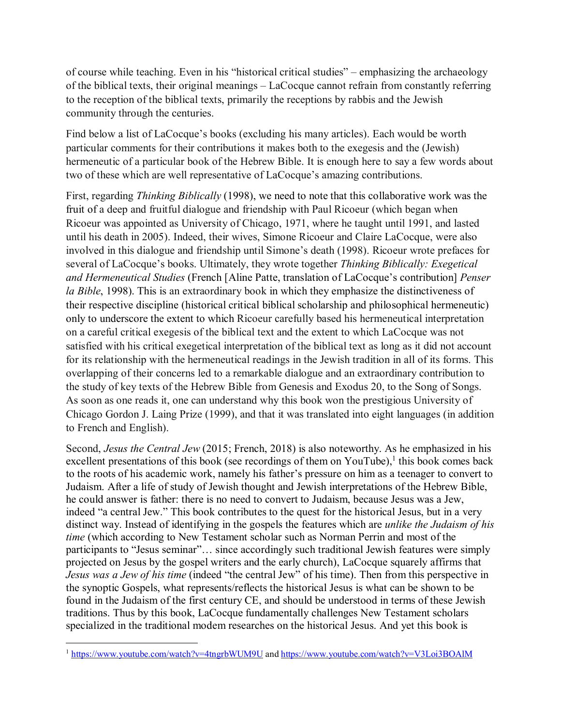of course while teaching. Even in his "historical critical studies" – emphasizing the archaeology of the biblical texts, their original meanings – LaCocque cannot refrain from constantly referring to the reception of the biblical texts, primarily the receptions by rabbis and the Jewish community through the centuries.

Find below a list of LaCocque's books (excluding his many articles). Each would be worth particular comments for their contributions it makes both to the exegesis and the (Jewish) hermeneutic of a particular book of the Hebrew Bible. It is enough here to say a few words about two of these which are well representative of LaCocque's amazing contributions.

First, regarding *[Thinking Biblically](https://press.uchicago.edu/ucp/books/book/chicago/T/bo3617558.html)* (1998), we need to note that this collaborative work was the fruit of a deep and fruitful dialogue and friendship with Paul Ricoeur (which began when Ricoeur was appointed as University of Chicago, 1971, where he taught until 1991, and lasted until his death in 2005). Indeed, their wives, Simone Ricoeur and Claire LaCocque, were also involved in this dialogue and friendship until Simone's death (1998). Ricoeur wrote prefaces for several of LaCocque's books. Ultimately, they wrote together *[Thinking Biblically:](https://press.uchicago.edu/ucp/books/book/chicago/T/bo3617558.html) Exegetical and Hermeneutical Studies* (French [Aline Patte, translation of LaCocque's contribution] *[Penser](https://www.amazon.com/-/es/gp/product/B00JFS4BKI/ref=dbs_a_def_rwt_hsch_vapi_tkin_p1_i2)  [la Bible](https://www.amazon.com/-/es/gp/product/B00JFS4BKI/ref=dbs_a_def_rwt_hsch_vapi_tkin_p1_i2)*, 1998). This is an extraordinary book in which they emphasize the distinctiveness of their respective discipline (historical critical biblical scholarship and philosophical hermeneutic) only to underscore the extent to which Ricoeur carefully based his hermeneutical interpretation on a careful critical exegesis of the biblical text and the extent to which LaCocque was not satisfied with his critical exegetical interpretation of the biblical text as long as it did not account for its relationship with the hermeneutical readings in the Jewish tradition in all of its forms. This overlapping of their concerns led to a remarkable dialogue and an extraordinary contribution to the study of key texts of the Hebrew Bible from Genesis and Exodus 20, to the Song of Songs. As soon as one reads it, one can understand why this book won the prestigious University of Chicago Gordon J. Laing Prize (1999), and that it was translated into eight languages (in addition to French and English).

Second, *[Jesus the Central Jew](https://www.amazon.com/-/es/gp/product/B012BCSYI4/ref=dbs_a_def_rwt_hsch_vapi_tkin_p1_i4)* (2015; French, 2018) is also noteworthy. As he emphasized in his excellent presentations of this book (see recordings of them on YouTube),<sup>1</sup> this book comes back to the roots of his academic work, namely his father's pressure on him as a teenager to convert to Judaism. After a life of study of Jewish thought and Jewish interpretations of the Hebrew Bible, he could answer is father: there is no need to convert to Judaism, because Jesus was a Jew, indeed "a central Jew." This book contributes to the quest for the historical Jesus, but in a very distinct way. Instead of identifying in the gospels the features which are *unlike the Judaism of his time* (which according to New Testament scholar such as Norman Perrin and most of the participants to "Jesus seminar"… since accordingly such traditional Jewish features were simply projected on Jesus by the gospel writers and the early church), LaCocque squarely affirms that *Jesus was a Jew of his time* (indeed "the central Jew" of his time). Then from this perspective in the synoptic Gospels, what represents/reflects the historical Jesus is what can be shown to be found in the Judaism of the first century CE, and should be understood in terms of these Jewish traditions. Thus by this book, LaCocque fundamentally challenges New Testament scholars specialized in the traditional modem researches on the historical Jesus. And yet this book is

 <sup>1</sup> <https://www.youtube.com/watch?v=4tngrbWUM9U> an[d https://www.youtube.com/watch?v=V3Loi3BOAlM](https://www.youtube.com/watch?v=V3Loi3BOAlM)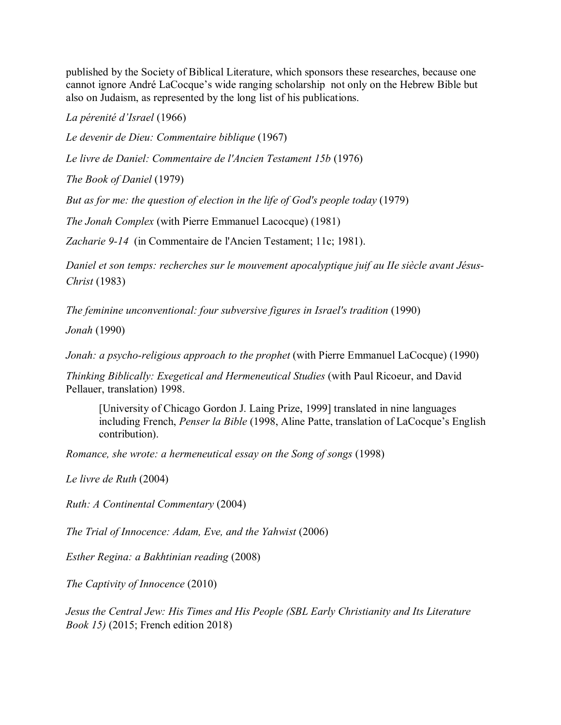published by the Society of Biblical Literature, which sponsors these researches, because one cannot ignore André LaCocque's wide ranging scholarship not only on the Hebrew Bible but also on Judaism, as represented by the long list of his publications.

*La pérenité d'Israel* (1966)

*Le devenir de Dieu: Commentaire biblique* (1967)

*Le livre de Daniel: Commentaire de l'Ancien Testament 15b* (1976)

*The Book of Daniel* (1979)

*But as for me: the question of election in the life of God's people today* (1979)

*The Jonah Complex* (with Pierre Emmanuel Lacocque) (1981)

*Zacharie 9-14* (in Commentaire de l'Ancien Testament; 11c; 1981).

*Daniel et son temps: recherches sur le mouvement apocalyptique juif au IIe siècle avant Jésus-Christ* (1983)

*The feminine unconventional: four subversive figures in Israel's tradition* (1990)

*Jonah* (1990)

*Jonah: a psycho-religious approach to the prophet* (with Pierre Emmanuel LaCocque) (1990)

*[Thinking Biblically:](https://press.uchicago.edu/ucp/books/book/chicago/T/bo3617558.html) Exegetical and Hermeneutical Studies* (with Paul Ricoeur, and David Pellauer, translation) 1998.

[University of Chicago Gordon J. Laing Prize, 1999] translated in nine languages including French, *[Penser la Bible](https://www.amazon.com/-/es/gp/product/B00JFS4BKI/ref=dbs_a_def_rwt_hsch_vapi_tkin_p1_i2)* (1998, [Aline Patte,](https://www.amazon.com/-/es/s?ie=UTF8&field-author=Aline+Patte&text=Aline+Patte&sort=relevancerank&search-alias=digital-text&ref=dbs_a_def_rwt_hsch_vu00_tkin_p1_i2) translation of LaCocque's English contribution).

*Romance, she wrote: a hermeneutical essay on the Song of songs* (1998)

*Le livre de Ruth* (2004)

*Ruth: A Continental Commentary* (2004)

*[The Trial of Innocence: Adam, Eve, and the Yahwist](https://www.amazon.com/-/es/gp/product/B0057AOZGI/ref=dbs_a_def_rwt_hsch_vapi_tkin_p1_i5)* (2006)

*Esther Regina: a Bakhtinian reading* (2008)

*The Captivity of [Innocence](https://www.abebooks.com/servlet/BookDetailsPL?bi=30698149482&searchurl=spo%3D30%26sortby%3D17%26p%3D2%26an%3Dlacocque%2Bandre%253F%26sp%3D1&cm_sp=snippet-_-srp2-_-title7)* (2010)

*[Jesus the Central Jew: His Times and His People \(SBL Early Christianity and Its Literature](https://www.amazon.com/-/es/gp/product/B012BCSYI4/ref=dbs_a_def_rwt_hsch_vapi_tkin_p1_i4)  [Book 15\)](https://www.amazon.com/-/es/gp/product/B012BCSYI4/ref=dbs_a_def_rwt_hsch_vapi_tkin_p1_i4)* (2015; French edition 2018)